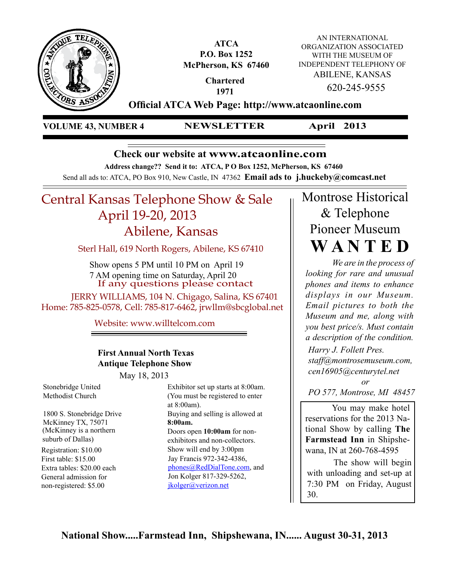

**ATCA P.O. Box 1252 McPherson, KS 67460**

AN INTERNATIONAL ORGANIZATION ASSOCIATED WITH THE MUSEUM OF INDEPENDENT TELEPHONY OF ABILENE, KANSAS 620-245-9555

**Chartered 1971**

**Official ATCA Web Page: http://www.atcaonline.com**

**VOLUME 43, NUMBER 4 NEWSLETTER**

**April 2013**

# **Check our website at www.atcaonline.com**

**Address change?? Send it to: ATCA, P O Box 1252, McPherson, KS 67460**

Send all ads to: ATCA, PO Box 910, New Castle, IN 47362 **Email ads to j.huckeby@comcast.net** 

# Central Kansas Telephone Show & Sale April 19-20, 2013 Abilene, Kansas

Sterl Hall, 619 North Rogers, Abilene, KS 67410

If any questions please contact Show opens 5 PM until 10 PM on April 19 7 AM opening time on Saturday, April 20

 JERRY WILLIAMS, 104 N. Chigago, Salina, KS 67401 Home: 785-825-0578, Cell: 785-817-6462, jrwllm@sbcglobal.net

**Don Wal-** Website: www.willtelcom.com **ton's dis-**

# **First Annual North Texas Antique Telephone Show**

May 18, 2013

Stonebridge United Methodist Church

1800 S. Stonebridge Drive McKinney TX, 75071 (McKinney is a northern suburb of Dallas)

First table: \$15.00 Extra tables: \$20.00 each General admission for non-registered: \$5.00

Exhibitor set up starts at 8:00am. (You must be registered to enter at 8:00am). Buying and selling is allowed at **8:00am.** Doors open **10:00am** for nonexhibitors and non-collectors. Registration: \$10.00 Show will end by 3:00pm Jay Francis 972-342-4386, phones@RedDialTone.com, and Jon Kolger 817-329-5262, jkolger@verizon.net

# Montrose Historical & Telephone Pioneer Museum **W A N T E D**

*We are in the process of looking for rare and unusual phones and items to enhance displays in our Museum. Email pictures to both the Museum and me, along with you best price/s. Must contain a description of the condition.*

*Harry J. Follett Pres. staff@montrosemuseum.com, cen16905@centurytel.net*

 *or PO 577, Montrose, MI 48457*

You may make hotel reservations for the 2013 National Show by calling **The Farmstead Inn** in Shipshewana, IN at 260-768-4595

The show will begin with unloading and set-up at 7:30 PM on Friday, August 30.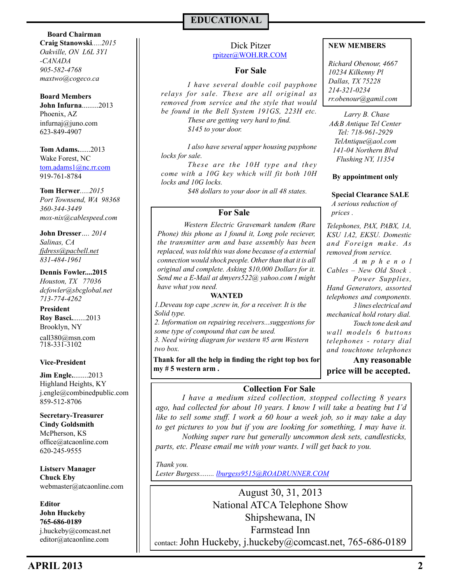#### **Board Chairman**

**Craig Stanowski***.....2015 Oakville, ON L6L 3Y1 -CANADA 905-582-4768 maxtwo@cogeco.ca*

#### **Board Members**

**John Infurna**.........2013 Phoenix, AZ 623-849-4907 infurnaj@juno.com

**Tom Adams.**......2013 Wake Forest, NC tom.adams1@nc.rr.com 919-761-8784

### **Tom Herwer***.....2015*

*Port Townsend, WA 98368 360-344-3449 mox-nix@cablespeed.com*

## **John Dresser***…. 2014*

*Salinas, CA fjdress@pacbell.net 831-484-1961*

### **Dennis Fowler....2015**

*Houston, TX 77036 dcfowler@sbcglobal.net 713-774-4262*

**President Roy Basci.**.......2013 Brooklyn, NY 718-331-3102 call380@msn.com

### **Vice-President**

**Jim Engle.**........2013 Highland Heights, KY j.engle@combinedpublic.com 859-512-8706

**Secretary-Treasurer Cindy Goldsmith** McPherson, KS office@atcaonline.com 620-245-9555

**Listserv Manager Chuck Eby** webmaster@atcaonline.com

**Editor John Huckeby 765-686-0189** j.huckeby@comcast.net editor@atcaonline.com

# **EDUCATIONAL**

### Dick Pitzer rpitzer@WOH.RR.COM

### **For Sale**

*I have several double coil payphone relays for sale. These are all original as removed from service and the style that would be found in the Bell System 191GS, 223H etc. These are getting very hard to find. \$145 to your door.*

*I also have several upper housing payphone locks for sale.*

*These are the 10H type and they come with a 10G key which will fit both 10H locks and 10G locks.*

*\$48 dollars to your door in all 48 states.*

### **For Sale**

*Western Electric Gravemark tandem (Rare Phone) this phone as I found it, Long pole reciever, the transmitter arm and base assembly has been replaced, was told this was done because of a externial connection would shock people. Other than that it is all original and complete. Asking \$10,000 Dollars for it. Send me a E-Mail at dmyers522@ yahoo.com I might have what you need.*

#### **WANTED**

*1.Deveau top cape ,screw in, for a receiver. It is the Solid type.* 

*2. Information on repairing receivers...suggestions for some type of compound that can be used.* 

*3. Need wiring diagram for western #5 arm Western two box.* 

**Thank for all the help in finding the right top box for my # 5 western arm .**

### **NEW MEMBERS**

*Richard Obenour, 4667 10234 Kilkenny Pl Dallas, TX 75228 214-321-0234 rr.obenour@gamil.com*

*A&B Antique Tel Center Tel: 718-961-2929 TelAntique@aol.com 141-04 Northern Blvd Flushing NY, 11354 Larry B. Chase*

#### **By appointment only**

**Special Clearance SALE** *A serious reduction of prices .* 

*Telephones, PAX, PABX, 1A, KSU 1A2, EKSU. Domestic and Foreign make. As removed from service.*

*A m p h e n o l Cables – New Old Stock . Power Supplies, Hand Generators, assorted telephones and components. 3 lines electrical and mechanical hold rotary dial. Touch tone desk and wall models 6 buttons telephones - rotary dial and touchtone telephones* 

**Any reasonable price will be accepted.** 

## **Collection For Sale**

*I have a medium sized collection, stopped collecting 8 years ago, had collected for about 10 years. I know I will take a beating but I'd like to sell some stuff. I work a 60 hour a week job, so it may take a day to get pictures to you but if you are looking for something, I may have it. Nothing super rare but generally uncommon desk sets, candlesticks, parts, etc. Please email me with your wants. I will get back to you.*

*Thank you. Lester Burgess........ lburgess9515@ROADRUNNER.COM*

August 30, 31, 2013 National ATCA Telephone Show Shipshewana, IN Farmstead Inn contact: John Huckeby, j.huckeby@comcast.net, 765-686-0189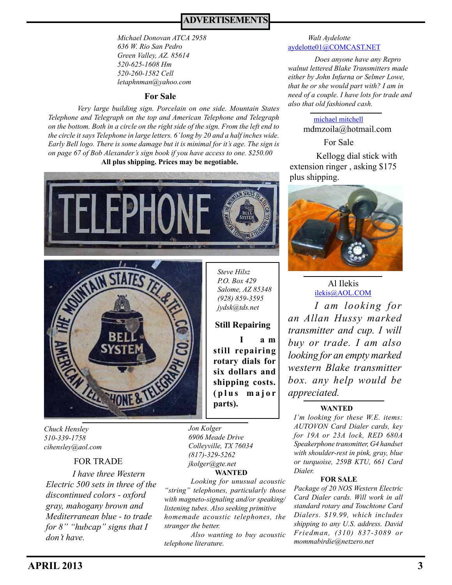# **ADVERTISEMENTS**

*Michael Donovan ATCA 2958 636 W. Rio San Pedro Green Valley, AZ. 85614 520-625-1608 Hm 520-260-1582 Cell letaphnman@yahoo.com*

### **For Sale**

*Very large building sign. Porcelain on one side. Mountain States Telephone and Telegraph on the top and American Telephone and Telegraph on the bottom. Both in a circle on the right side of the sign. From the left end to the circle it says Telephone in large letters. 6' long by 20 and a half inches wide. Early Bell logo. There is some damage but it is minimal for it's age. The sign is on page 67 of Bob Alexander's sign book if you have access to one. \$250.00*  **All plus shipping. Prices may be negotiable.**





*Chuck Hensley 510-339-1758 cihensley@aol.com* 

*I have three Western Electric 500 sets in three of the discontinued colors - oxford gray, mahogany brown and Mediterranean blue - to trade for 8" "hubcap" signs that I don't have.* FOR TRADE

*Jon Kolger 6906 Meade Drive Colleyville, TX 76034 (817)-329-5262 jkolger@gte.net*  **WANTED**

**parts).** 

*Steve Hilsz P.O. Box 429 Salome, AZ 85348 (928) 859-3595 jydsk@tds.net*

**Still Repairing**

**still repairing rotary dials for six dollars and shipping costs. ( p l u s m a j o r** 

**I a m** 

*Looking for unusual acoustic "string" telephones, particularly those with magneto-signaling and/or speaking/ listening tubes. Also seeking primitive homemade acoustic telephones, the stranger the better.* 

*Also wanting to buy acoustic telephone literature.*

#### aydelotte01@COMCAST.NET *Walt Aydelotte*

*Does anyone have any Repro walnut lettered Blake Transmitters made either by John Infurna or Selmer Lowe, that he or she would part with? I am in need of a couple. I have lots for trade and also that old fashioned cash.*

> michael mitchell mdmzoila@hotmail.com

> > For Sale

Kellogg dial stick with extension ringer , asking \$175 plus shipping.



*I am looking for an Allan Hussy marked transmitter and cup. I will buy or trade. I am also looking for an empty marked western Blake transmitter box. any help would be appreciated.* ilekis@AOL.COM Al Ilekis

### **WANTED**

*I'm looking for these W.E. items: AUTOVON Card Dialer cards, key for 19A or 23A lock, RED 680A Speakerphone transmitter, G4 handset with shoulder-rest in pink, gray, blue or turquoise, 259B KTU, 661 Card Dialer.* 

#### **FOR SALE**

*Package of 20 NOS Western Electric Card Dialer cards. Will work in all standard rotary and Touchtone Card Dialers. \$19.99, which includes shipping to any U.S. address. David Friedman, (310) 837-3089 or mommabirdie@netzero.net*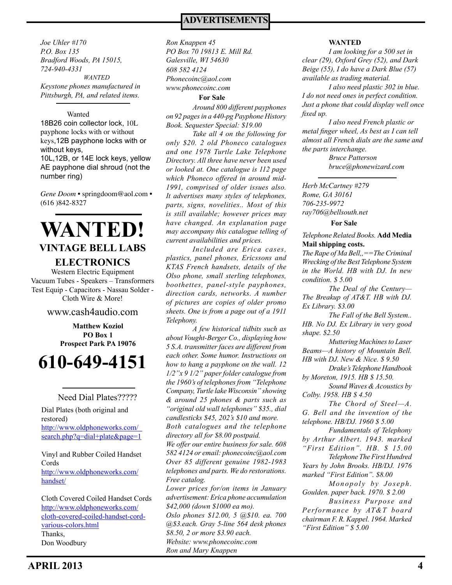*WANTED Keystone phones manufactured in Pittsburgh, PA, and related items. Joe Uhler #170 P.O. Box 135 Bradford Woods, PA 15015, 724-940-4331 608 582 4124* 

#### Wanted

18B26 coin collector lock, 10L payphone locks with or without keys,12B payphone locks with or without keys, 10L,12B, or 14E lock keys, yellow

AE payphone dial shroud (not the number ring)

*Gene Doom* • springdoom@aol.com • (616 )842-8327

# **WANTED! VINTAGE BELL LABS**

## **ELECTRONICS**

Western Electric Equipment Vacuum Tubes - Speakers – Transformers Test Equip - Capacitors - Nassau Solder - Cloth Wire & More!

### www.cash4audio.com

**Matthew Koziol PO Box 1 Prospect Park PA 19076**

**610-649-4151**

#### Need Dial Plates?????

Dial Plates (both original and restored) http://www.oldphoneworks.com/\_ search.php?q=dial+plate&page=1

Vinyl and Rubber Coiled Handset Cords http://www.oldphoneworks.com/ handset/

Cloth Covered Coiled Handset Cords http://www.oldphoneworks.com/ cloth-covered-coiled-handset-cordvarious-colors.html Thanks, Don Woodbury

# **ADVERTISEMENTS**

*Phonecoinc@aol.com www.phonecoinc.com Ron Knappen 45 PO Box 70 19813 E. Mill Rd. Galesville, WI 54630*

**For Sale**

*Around 800 different payphones on 92 pages in a 440-pg Payphone History Book. Sequester Special: \$19.00* 

*Take all 4 on the following for only \$20. 2 old Phoneco catalogues and one 1978 Turtle Lake Telephone Directory. All three have never been used or looked at. One catalogue is 112 page which Phoneco offered in around mid-1991, comprised of older issues also. It advertises many styles of telephones, parts, signs, novelities.. Most of this is still available; however prices may have changed. An explanation page may accompany this catalogue telling of current availabilities and prices.* 

*Included are Erica cases, plastics, panel phones, Ericssons and KTAS French handsets, details of the Olso phone, small sterling telephones, boothettes, panel-style payphones, direction cards, networks. A number of pictures are copies of older promo sheets. One is from a page out of a 1911 Telephony.* 

*A few historical tidbits such as about Vought-Berger Co., displaying how 5 S.A. transmitter faces are different from each other. Some humor. Instructions on how to hang a payphone on the wall. 12 1/2"x 9 1/2" paper folder catalogue from the 1960's of telephones from "Telephone Company, Turtle lake Wisconsin" showing & around 25 phones & parts such as "original old wall telephones" \$35., dial candlesticks \$45, 202's \$10 and more. Both catalogues and the telephone directory all for \$8.00 postpaid. We offer our entire business for sale. 608 582 4124 or email: phonecoinc@aol.com Over 85 different genuine 1982-1983 telephones and parts. We do restorations. Free catalog. Lower prices for/on items in January advertisement: Erica phone accumulation* 

*\$42,000 (down \$1000 ea mo). Oslo phones \$12.00, 5 @\$10. ea. 700 @\$3.each. Gray 5-line 564 desk phones \$8.50, 2 or more \$3.90 each. Website: www.phonecoinc.com* 

*Ron and Mary Knappen*

#### **WANTED**

*I am looking for a 500 set in clear (29), Oxford Grey (52), and Dark Beige (55), I do have a Dark Blue (57) available as trading material.*

*I also need plastic 302 in blue. I do not need ones in perfect condition. Just a phone that could display well once fixed up.*

*I also need French plastic or metal finger wheel, As best as I can tell almost all French dials are the same and the parts interchange.* 

> *Bruce Patterson bruce@phonewizard.com*

*Herb McCartney #279 Rome, GA 30161 706-235-9972 ray706@bellsouth.net*

**For Sale**

*Telephone Related Books.* **Add Media Mail shipping costs.**

*The Rape of Ma Bell,,==The Criminal Wrecking of the Best Telephone System in the World. HB with DJ. In new condition. \$ 5.00*

*The Deal of the Century— The Breakup of AT&T. HB with DJ. Ex Library. \$3.00*

*The Fall of the Bell System.. HB. No DJ. Ex Library in very good shape. \$2.50*

*Muttering Machines to Laser Beams—A history of Mountain Bell. HB with DJ. New & Nice. \$ 9.50*

*Drake's Telephone Handbook by Moreton, 1915. HB \$ 15.50.*

*Sound Waves & Acoustics by Colby. 1958. HB \$ 4.50*

*The Chord of Steel—A. G. Bell and the invention of the telephone. HB/DJ. 1960 \$ 5.00*

*Fundamentals of Telephony by Arthur Albert. 1943. marked "First Edition". HB. \$ 15.00 Telephone The First Hundred Years by John Brooks. HB/DJ. 1976* 

*marked "First Edition". \$8.00*

*Monopoly by Joseph. Goulden. paper back. 1970. \$ 2.00*

*Business Purpose and Performance by AT&T board chairman F. R. Kappel. 1964. Marked "First Edition" \$ 5.00*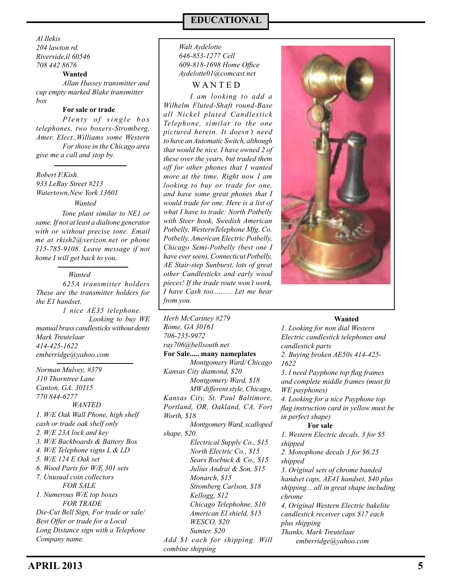*Al Ilekis 204 lawton rd. Riverside,il 60546 708 442 8676*

**Wanted**

*Allan Hussey transmitter and cup empty marked Blake transmitter box*

#### **For sale or trade**

*Plenty of single box telephones, two boxers-Stromberg, Amer. Elect.,Williams some Western For those in the Chicago area give me a call and stop by.*

*Robert F.Kish. 933 LeRay Street #213 Watertown,New York 13601*

*Wanted*

*Tone plant similar to NE1 or same. If not at least a dialtone generator with or without precise tone. Email me at rkish2@verizon.net or phone 315-785-9108. Leave message if not home I will get back to you.* 

#### *Wanted*

*625A transmitter holders These are the transmitter holders for the E1 handset.* 

*1 nice AE35 telephone. Looking to buy WE manual brass candlesticks without dents Mark Treutelaar 414-425-1622 emberridge@yahoo.com*

*1. W/E Oak Wall Phone, high shelf cash or trade oak shelf only 2. W/E 23A lock and key 3. W/E Backboards & Battery Box 4. W/E Telephone signs L & LD 5. W/E 124 E Oak set 6. Wood Parts for W/E 301 sets 7. Unusual coin collectors FOR SALE 1. Numerous W/E top boxes FOR TRADE Die-Cut Bell Sign, For trade or sale/ Best Offer or trade for a Local Long Distance sign with a Telephone Company name. Norman Mulvey, #379 310 Thorntree Lane Canton, GA. 30115 770 844-6277 WANTED*

# **EDUCATIONAL**

### *Walt Aydelotte 646-853-1277 Cell 609-818-1698 Home Office Aydelotte01@comcast.net*

W A N T E D

*I am looking to add a Wilhelm Fluted-Shaft round-Base all Nickel plated Candlestick Telephone, similar to the one pictured herein. It doesn't need to have an Automatic Switch, although that would be nice. I have owned 2 of these over the years, but traded them off for other phones that I wanted more at the time. Right now I am looking to buy or trade for one, and have some great phones that I would trade for one. Here is a list of what I have to trade: North Potbelly with Steer hook, Swedish American Potbelly, WesternTelephone Mfg. Co. Potbelly, American Electric Potbelly, Chicago Semi-Potbelly (best one I have ever seen), Connecticut Potbelly, AE Stair-step Sunburst, lots of great other Candlesticks and early wood pieces! If the trade route won't work, I have Cash too.......... Let me hear from you.*

*Herb McCartney #279 Rome, GA 30161 706-235-9972 ray706@bellsouth.net* **For Sale..... many nameplates** *Montgomery Ward/ Chicago Kansas City diamond, \$20 Montgomery Ward, \$18 MW different style, Chicago, Kansas City, St. Paul Baltimore, Portland, OR, Oakland, CA, Fort Worth, \$18 Montgomery Ward, scalloped shape, \$20. Electrical Supply Co., \$15 North Electric Co., \$15 Sears Roebuck & Co., \$15 Julius Andrai & Son, \$15 Monarch, \$15 Stromberg Carlson, \$18 Kellogg, \$12 Chicago Telephohne, \$10 American El shield, \$15 WESCO, \$20 Sumter, \$20 Add \$1 each for shipping. Will combine shipping*



#### **Wanted**

*1. Looking for non dial Western Electric candlestick telephones and candlestick parts 2. Buying broken AE50s 414-425- 1622 3. I need Payphone top flag frames and complete middle frames (must fit WE payphones) 4. Looking for a nice Payphone top flag instruction card in yellow must be in perfect shape)*  **For sale** *1. Western Electric decals, 3 for \$5 shipped 2. Monophone decals 3 for \$6.25 shipped 3. Original sets of chrome banded handset caps, AE41 handset, \$40 plus shipping... all in great shape including chrome 4, Original Western Electric bakelite candlestick receiver caps \$17 each plus shipping* 

*Thanks, Mark Treutelaar*

*emberridge@yahoo.com*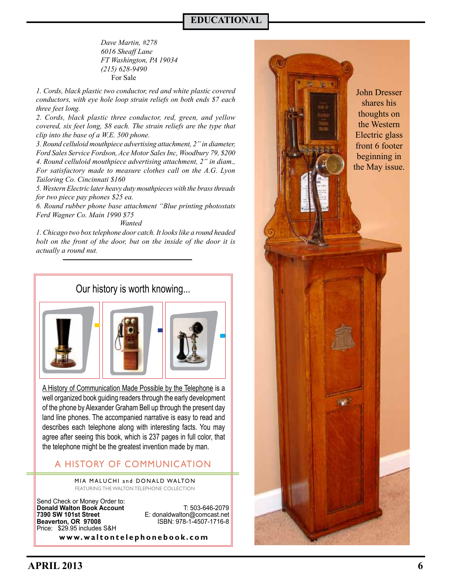# **EDUCATIONAL**

For Sale *Dave Martin, #278 6016 Sheaff Lane FT Washington, PA 19034 (215) 628-9490*

*1. Cords, black plastic two conductor, red and white plastic covered conductors, with eye hole loop strain reliefs on both ends \$7 each three feet long.*

*2. Cords, black plastic three conductor, red, green, and yellow covered, six feet long, \$8 each. The strain reliefs are the type that clip into the base of a W.E. 500 phone.*

*3. Round celluloid mouthpiece advertising attachment, 2" in diameter, Ford Sales Service Fordson, Ace Motor Sales Inc, Woodbury 79, \$200 4. Round celluloid mouthpiece advertising attachment, 2" in diam., For satisfactory made to measure clothes call on the A.G. Lyon Tailoring Co. Cincinnati \$160*

*5. Western Electric later heavy duty mouthpieces with the brass threads for two piece pay phones \$25 ea.*

*6. Round rubber phone base attachment "Blue printing photostats Ferd Wagner Co. Main 1990 \$75*

*Wanted*

*1. Chicago two box telephone door catch. It looks like a round headed bolt on the front of the door, but on the inside of the door it is actually a round nut.*

# Our history is worth knowing...





A History of Communication Made Possible by the Telephone is a well organized book guiding readers through the early development of the phone by Alexander Graham Bell up through the present day land line phones. The accompanied narrative is easy to read and describes each telephone along with interesting facts. You may agree after seeing this book, which is 237 pages in full color, that the telephone might be the greatest invention made by man.

# A HISTORY OF COMMUNICATION

FEATURING THE WALTON TELEPHONE COLLECTION MIA MALUCHI and DONALD WALTON

Send Check or Money Order to: **Donald Walton Book Account**<br> **E:** donaldwalton@comcast.net **7390 SW 101st Street** E: donaldwalton@comcast.net Price: \$29.95 includes S&H

**ISBN: 978-1-4507-1716-8** 

**www.waltontelephonebook.com**

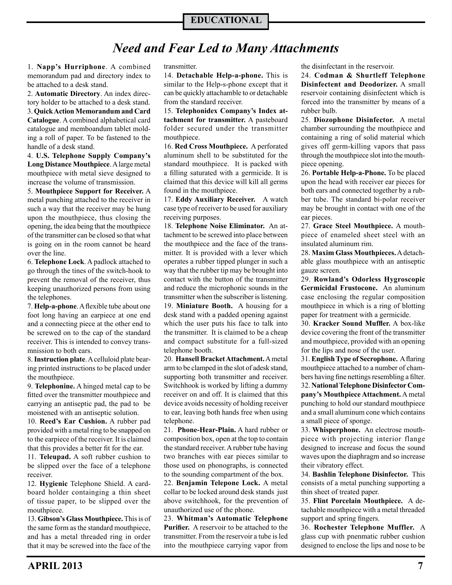# **EDUCATIONAL**

# *Need and Fear Led to Many Attachments*

1. **Napp's Hurriphone**. A combined memorandum pad and directory index to be attached to a desk stand.

2. **Automatic Directory**. An index directory holder to be attached to a desk stand. 3. **Quick Action Memorandum and Card Catalogue**. A combined alphabetical card

catalogue and memboandum tablet molding a roll of paper. To be fastened to the handle of a desk stand.

4. **U.S. Telephone Supply Company's Long Distance Mouthpiece**. A large metal mouthpiece with metal sieve designed to increase the volume of transmission.

5. **Mouthpiece Support for Receiver.** A metal punching attached to the receiver in such a way that the receiver may be hung upon the mouthpiece, thus closing the opening, the idea being that the mouthpiece of the transmitter can be closed so that what is going on in the room cannot be heard over the line.

6. **Telephone Lock**. A padlock attached to go through the tines of the switch-hook to prevent the removal of the receiver, thus keeping unauthorized persons from using the telephones.

7. **Help-a-phone**. A flexible tube about one foot long having an earpiece at one end and a connecting piece at the other end to be screwed on to the cap of the standard receiver. This is intended to convey transmnission to both ears.

8. **Instruction plate**. A celluloid plate bearing printed instructions to be placed under the mouthpiece.

9. **Telephonine.** A hinged metal cap to be fitted over the transmitter mouthpiece and carrying an antiseptic pad, the pad to be moistened with an antiseptic solution.

10. **Reed's Ear Cushion.** A rubber pad provided with a metal ring to be snapped on to the earpiece of the receiver. It is claimed that this provides a better fit for the ear.

11. **Teleupad.** A soft rubber cushion to be slipped over the face of a telephone receiver.

12. **Hygienic** Telephone Shield. A cardboard holder containging a thin sheet of tissue paper, to be slipped over the mouthpiece.

13. **Gibson's Glass Mouthpiece.** This is of the same form as the standard mouthpiece, and has a metal threaded ring in order that it may be screwed into the face of the

transmitter.

14. **Detachable Help-a-phone.** This is similar to the Help-s-phone except that it can be quickly attachamble to or detachable from the standard receiver.

15. **Telephonidex Company's Index attachment for transmitter.** A pasteboard folder secured under the transmitter mouthpiece.

16. **Red Cross Mouthpiece.** A perforated aluminum shell to be substituted for the standard mouthpiece. It is packed with a filling saturated with a germicide. It is claimed that this device will kill all germs found in the mouthpiece.

17. **Eddy Auxiliary Receiver.** A watch case type of receiver to be used for auxiliary receiving purposes.

18. **Telephone Noise Eliminator.** An attachment to be screwed into place between the mouthpiece and the face of the transmitter. It is provided with a lever which operates a rubber tipped plunger in such a way that the rubber tip may be brought into contact with the button of the transmitter and reduce the microphonic sounds in the transmitter when the subscriber is listening. 19. **Miniature Booth.** A housing for a desk stand with a padded opening against which the user puts his face to talk into the transmitter. It is claimed to be a cheap and compact substitute for a full-sized

telephone booth. 20. **Hansell Bracket Attachment.** A metal arm to be clamped in the slot of adesk stand, supporting both transmitter and receiver. Switchhook is worked by lifting a dummy receiver on and off. It is claimed that this device avoids necessity of holding receiver to ear, leaving both hands free when using telephone.

21. **Phone-Hear-Plain.** A hard rubber or composition box, open at the top to contain the standard receiver. A rubber tube having two branches with ear pieces similar to those used on phonographs, is connected to the sounding compartment of the box.

22. **Benjamin Telepone Lock.** A metal collar to be locked around desk stands just above switchhook, for the prevention of unauthorized use of the phone.

23. **Whitman's Automatic Telephone Purifier.** A reservoir to be attached to the transmitter. From the reservoir a tube is led into the mouthpiece carrying vapor from the disinfectant in the reservoir.

24. **Codman & Shurtleff Telephone Disinfectent and Deodorizer.** A small reservoir containing disinfectent which is forced into the transmitter by means of a rubber bulb.

25. **Diozophone Disinfector.** A metal chamber surrounding the mouthpiece and containing a ring of solid material which gives off germ-killing vapors that pass through the mouthpiece slot into the mouthpiece opening.

26. **Portable Help-a-Phone.** To be placed upon the head with receiver ear pieces for both ears and connected together by a rubber tube. The standard bi-polar receiver may be brought in contact with one of the ear pieces.

27. **Grace Steel Mouthpiece.** A mouthpiece of enameled sheet steel with an insulated aluminum rim.

28. **Maxim Glass Mouthpieces.** A detachable glass mouthpiece with an antiseptic gauze screen.

29. **Rowland's Odorless Hygroscopic Germicidal Frustocone.** An aluminum case enclosing the regular composition mouthpiece in which is a ring of blotting paper for treatment with a germicide.

30. **Kracker Sound Muffler.** A box-like device covering the front of the transmitter and mouthpiece, provided with an opening for the lips and nose of the user.

31. **English Type of Secrophone.** A flaring mouthpiece attached to a number of chambers having fine nettings resembling a filter. 32. **National Telephone Disinfector Company's Mouthpiece Attachment.** A metal punching to hold our standard mouthpiece and a small aluminum cone which contains a small piece of sponge.

33. **Whisperphone.** An electrose mouthpiece with projecting interior flange designed to increase and focus the sound waves upon the diaphragm and so increase their vibratory effect.

34. **Bashlin Telephone Disinfector.** This consists of a metal punching supporting a thin sheet of treated paper.

35. **Flint Porcelain Mouthpiece.** A detachable mouthpiece with a metal threaded support and spring fingers.

36. **Rochester Telephone Muffler.** A glass cup with pnenmatic rubber cushion designed to enclose the lips and nose to be